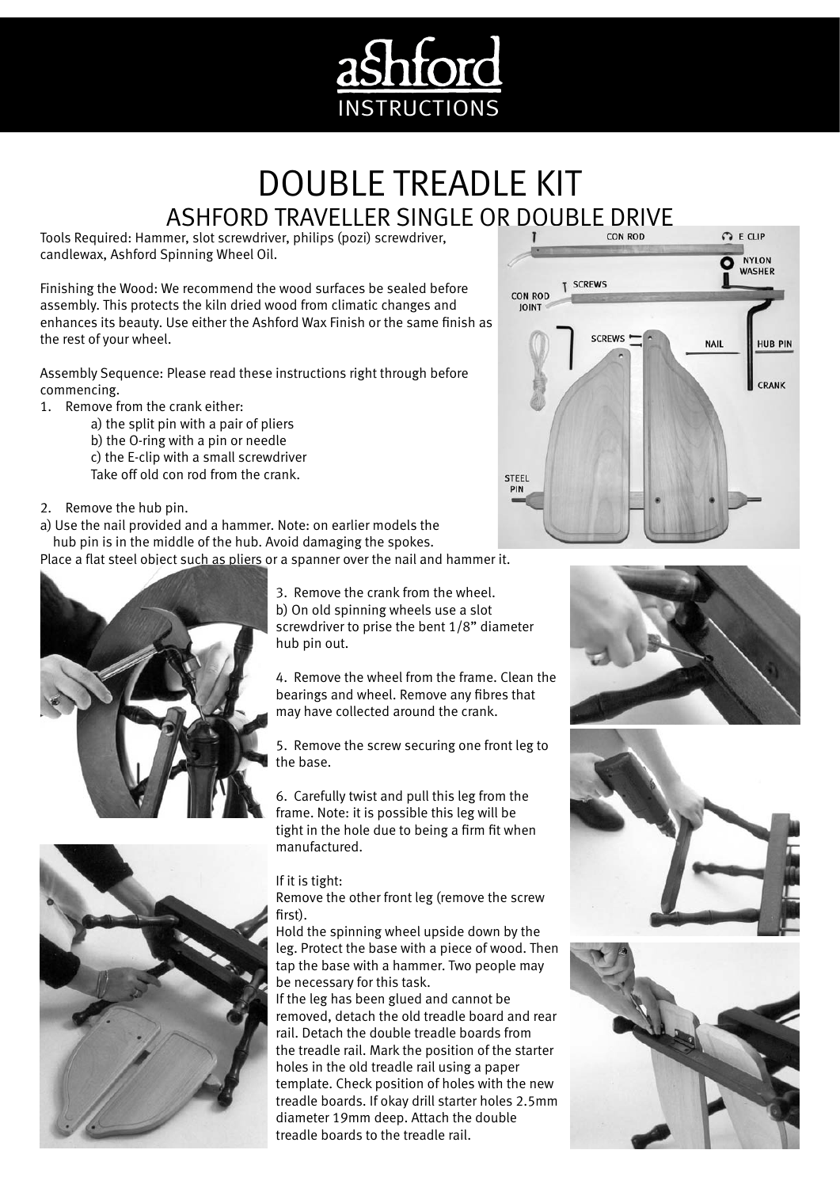

## DOUBLE TREADLE KIT ASHFORD TRAVELLER SINGLE OR DOUBLE DRIVE

Tools Required: Hammer, slot screwdriver, philips (pozi) screwdriver, candlewax, Ashford Spinning Wheel Oil.

Finishing the Wood: We recommend the wood surfaces be sealed before assembly. This protects the kiln dried wood from climatic changes and enhances its beauty. Use either the Ashford Wax Finish or the same finish as the rest of your wheel.

Assembly Sequence: Please read these instructions right through before commencing.

- 1. Remove from the crank either:
	- a) the split pin with a pair of pliers
	- b) the O-ring with a pin or needle
	- c) the E-clip with a small screwdriver
	- Take off old con rod from the crank.
- 2. Remove the hub pin.
- a) Use the nail provided and a hammer. Note: on earlier models the
- hub pin is in the middle of the hub. Avoid damaging the spokes.

Place a flat steel object such as pliers or a spanner over the nail and hammer it.



3. Remove the crank from the wheel. b) On old spinning wheels use a slot screwdriver to prise the bent 1/8" diameter hub pin out.

4. Remove the wheel from the frame. Clean the bearings and wheel. Remove any fibres that may have collected around the crank.

5. Remove the screw securing one front leg to the base.

6. Carefully twist and pull this leg from the frame. Note: it is possible this leg will be tight in the hole due to being a firm fit when manufactured.

## If it is tight:

Remove the other front leg (remove the screw first).

Hold the spinning wheel upside down by the leg. Protect the base with a piece of wood. Then tap the base with a hammer. Two people may be necessary for this task.

If the leg has been glued and cannot be removed, detach the old treadle board and rear rail. Detach the double treadle boards from the treadle rail. Mark the position of the starter holes in the old treadle rail using a paper template. Check position of holes with the new treadle boards. If okay drill starter holes 2.5mm diameter 19mm deep. Attach the double treadle boards to the treadle rail.